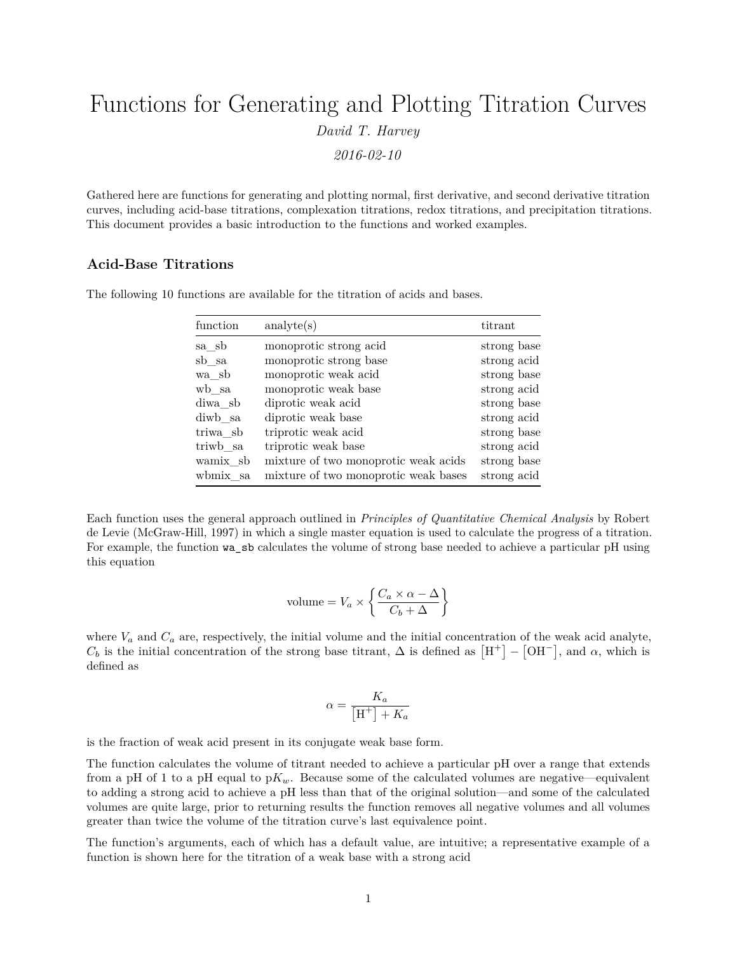# Functions for Generating and Plotting Titration Curves *David T. Harvey 2016-02-10*

Gathered here are functions for generating and plotting normal, first derivative, and second derivative titration curves, including acid-base titrations, complexation titrations, redox titrations, and precipitation titrations. This document provides a basic introduction to the functions and worked examples.

# **Acid-Base Titrations**

| function | analyte(s)                           | titrant     |
|----------|--------------------------------------|-------------|
| sa sb    | monoprotic strong acid               | strong base |
| sb sa    | monoprotic strong base               | strong acid |
| wa sb    | monoprotic weak acid                 | strong base |
| wb sa    | monoprotic weak base                 | strong acid |
| diwa sb  | diprotic weak acid                   | strong base |
| diwb sa  | diprotic weak base                   | strong acid |
| triwa sb | triprotic weak acid                  | strong base |
| triwb sa | triprotic weak base                  | strong acid |
| wamix sb | mixture of two monoprotic weak acids | strong base |
| wbmix sa | mixture of two monoprotic weak bases | strong acid |

The following 10 functions are available for the titration of acids and bases.

Each function uses the general approach outlined in *Principles of Quantitative Chemical Analysis* by Robert de Levie (McGraw-Hill, 1997) in which a single master equation is used to calculate the progress of a titration. For example, the function wa\_sb calculates the volume of strong base needed to achieve a particular pH using this equation

$$
volume = V_a \times \left\{ \frac{C_a \times \alpha - \Delta}{C_b + \Delta} \right\}
$$

where  $V_a$  and  $C_a$  are, respectively, the initial volume and the initial concentration of the weak acid analyte,  $C_b$  is the initial concentration of the strong base titrant,  $\Delta$  is defined as  $[H^+] - [OH^-]$ , and  $\alpha$ , which is defined as

$$
\alpha = \frac{K_a}{\left[\mathbf{H}^+\right] + K_a}
$$

is the fraction of weak acid present in its conjugate weak base form.

The function calculates the volume of titrant needed to achieve a particular pH over a range that extends from a pH of 1 to a pH equal to  $pK_w$ . Because some of the calculated volumes are negative—equivalent to adding a strong acid to achieve a pH less than that of the original solution—and some of the calculated volumes are quite large, prior to returning results the function removes all negative volumes and all volumes greater than twice the volume of the titration curve's last equivalence point.

The function's arguments, each of which has a default value, are intuitive; a representative example of a function is shown here for the titration of a weak base with a strong acid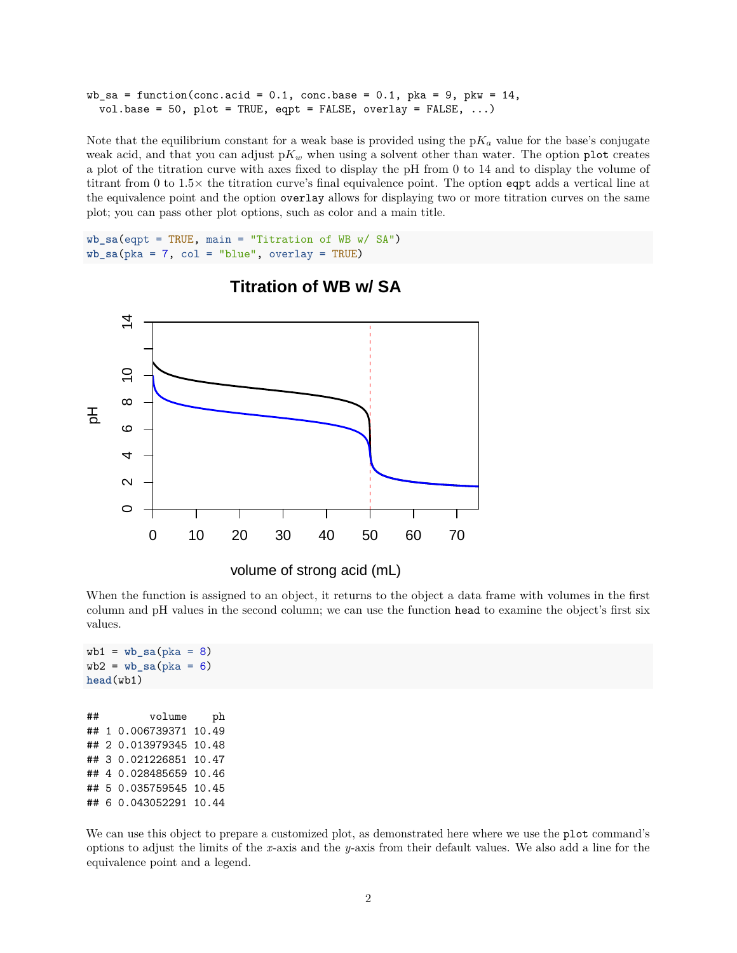```
wb sa = function(conc.acid = 0.1, conc.base = 0.1, pka = 9, pkw = 14,
  vol.base = 50, plot = TRUE, eqpt = FALSE, overlay = FALSE, ...)
```
Note that the equilibrium constant for a weak base is provided using the  $pK_a$  value for the base's conjugate weak acid, and that you can adjust  $pK_w$  when using a solvent other than water. The option plot creates a plot of the titration curve with axes fixed to display the pH from 0 to 14 and to display the volume of titrant from 0 to 1.5× the titration curve's final equivalence point. The option eqpt adds a vertical line at the equivalence point and the option overlay allows for displaying two or more titration curves on the same plot; you can pass other plot options, such as color and a main title.

```
wb_sa(eqpt = TRUE, main = "Titration of WB w/ SA")
wb\_sa(pka = 7, col = "blue", overlap = TRUE)
```


# **Titration of WB w/ SA**

When the function is assigned to an object, it returns to the object a data frame with volumes in the first column and pH values in the second column; we can use the function head to examine the object's first six values.

```
wb1 = wb_s a(\text{pka} = 8)wb2 = wb_s a(\text{pka} = 6)head(wb1)
## volume ph
## 1 0.006739371 10.49
## 2 0.013979345 10.48
## 3 0.021226851 10.47
## 4 0.028485659 10.46
## 5 0.035759545 10.45
## 6 0.043052291 10.44
```
We can use this object to prepare a customized plot, as demonstrated here where we use the plot command's options to adjust the limits of the *x*-axis and the *y*-axis from their default values. We also add a line for the equivalence point and a legend.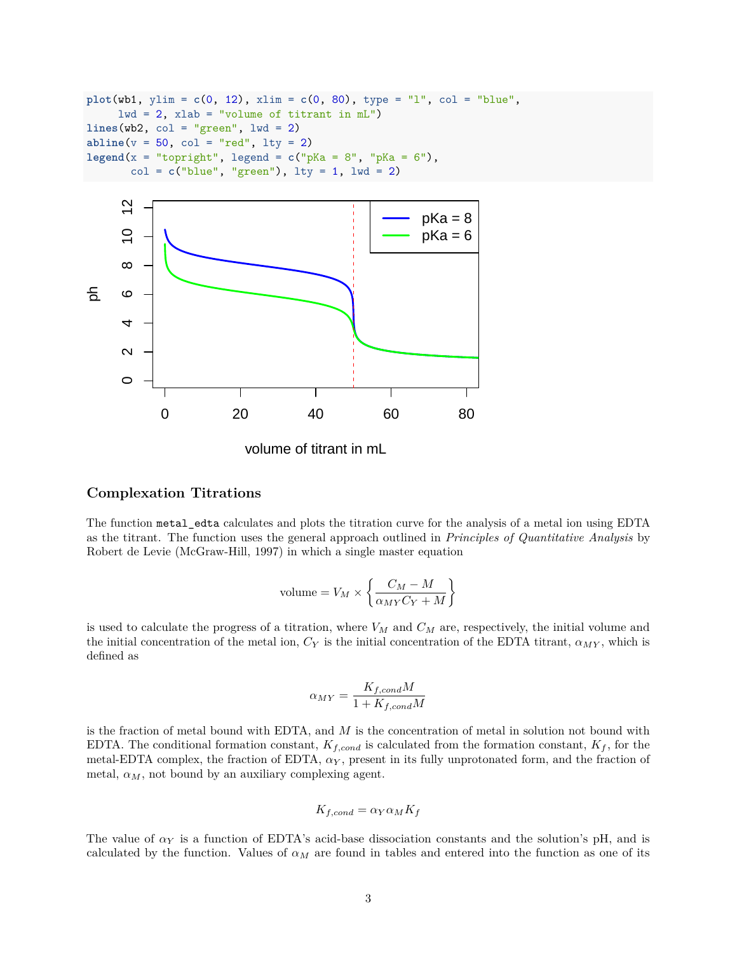```
plot(wb1, ylim = c(0, 12), xlim = c(0, 80), type = "l", col = "blue",1wd = 2, xlab = "volume of titrant in mL")
lines(wb2, col = "green", lwd = 2)abline(v = 50, col = "red", lty = 2)legend(x = "topright", legend = c("pKa = 8", "pKa = 6"),
       col = c("blue", "green"), \text{lty} = 1, \text{lwd} = 2)
```


volume of titrant in mL

## **Complexation Titrations**

The function metal\_edta calculates and plots the titration curve for the analysis of a metal ion using EDTA as the titrant. The function uses the general approach outlined in *Principles of Quantitative Analysis* by Robert de Levie (McGraw-Hill, 1997) in which a single master equation

$$
volume = V_M \times \left\{ \frac{C_M - M}{\alpha_{MY}C_Y + M} \right\}
$$

is used to calculate the progress of a titration, where *V<sup>M</sup>* and *C<sup>M</sup>* are, respectively, the initial volume and the initial concentration of the metal ion,  $C_Y$  is the initial concentration of the EDTA titrant,  $\alpha_{MY}$ , which is defined as

$$
\alpha_{MY} = \frac{K_{f,cond}M}{1 + K_{f,cond}M}
$$

is the fraction of metal bound with EDTA, and *M* is the concentration of metal in solution not bound with EDTA. The conditional formation constant,  $K_{f,cond}$  is calculated from the formation constant,  $K_f$ , for the metal-EDTA complex, the fraction of EDTA,  $\alpha_Y$ , present in its fully unprotonated form, and the fraction of metal,  $\alpha_M$ , not bound by an auxiliary complexing agent.

$$
K_{f,cond} = \alpha_Y \alpha_M K_f
$$

The value of  $\alpha_Y$  is a function of EDTA's acid-base dissociation constants and the solution's pH, and is calculated by the function. Values of  $\alpha_M$  are found in tables and entered into the function as one of its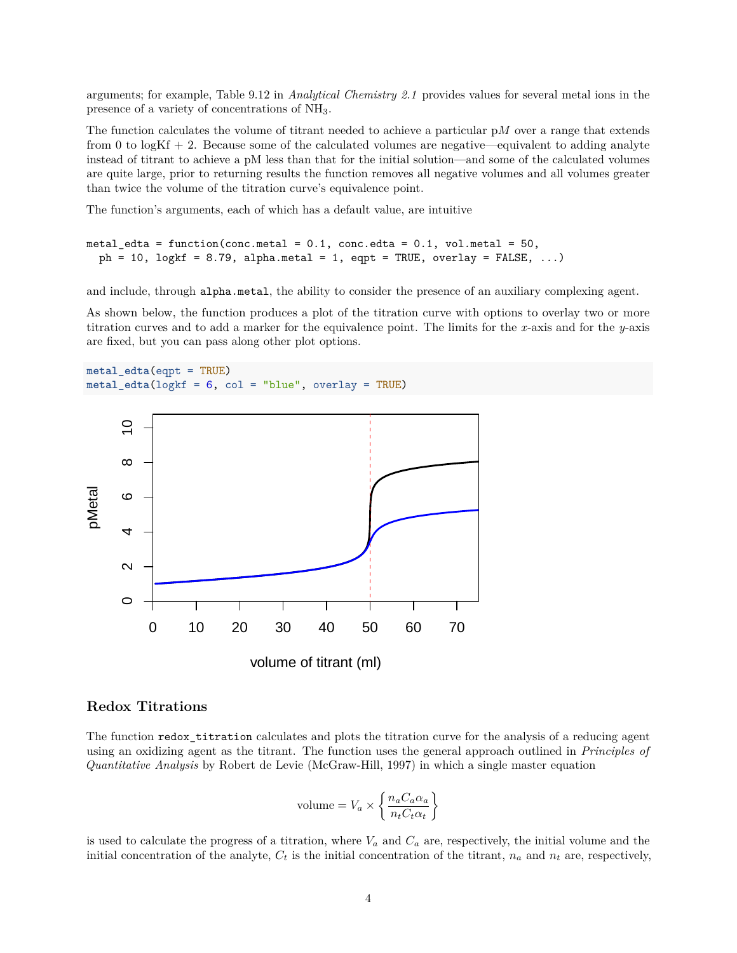arguments; for example, Table 9.12 in *Analytical Chemistry 2.1* provides values for several metal ions in the presence of a variety of concentrations of NH3.

The function calculates the volume of titrant needed to achieve a particular p*M* over a range that extends from 0 to  $log Kf + 2$ . Because some of the calculated volumes are negative—equivalent to adding analyte instead of titrant to achieve a pM less than that for the initial solution—and some of the calculated volumes are quite large, prior to returning results the function removes all negative volumes and all volumes greater than twice the volume of the titration curve's equivalence point.

The function's arguments, each of which has a default value, are intuitive

```
metal_edta = function(conc.metal = 0.1, conc.edta = 0.1, vol.metal = 50,
  ph = 10, logkf = 8.79, alpha.metal = 1, eqpt = TRUE, overlay = FALSE, ...)
```
and include, through alpha.metal, the ability to consider the presence of an auxiliary complexing agent.

As shown below, the function produces a plot of the titration curve with options to overlay two or more titration curves and to add a marker for the equivalence point. The limits for the *x*-axis and for the *y*-axis are fixed, but you can pass along other plot options.

**metal\_edta**(eqpt = TRUE) **metal\_edta**(logkf = 6, col = "blue", overlay = TRUE)



#### **Redox Titrations**

The function redox\_titration calculates and plots the titration curve for the analysis of a reducing agent using an oxidizing agent as the titrant. The function uses the general approach outlined in *Principles of Quantitative Analysis* by Robert de Levie (McGraw-Hill, 1997) in which a single master equation

$$
volume = V_a \times \left\{ \frac{n_a C_a \alpha_a}{n_t C_t \alpha_t} \right\}
$$

is used to calculate the progress of a titration, where  $V_a$  and  $C_a$  are, respectively, the initial volume and the initial concentration of the analyte,  $C_t$  is the initial concentration of the titrant,  $n_a$  and  $n_t$  are, respectively,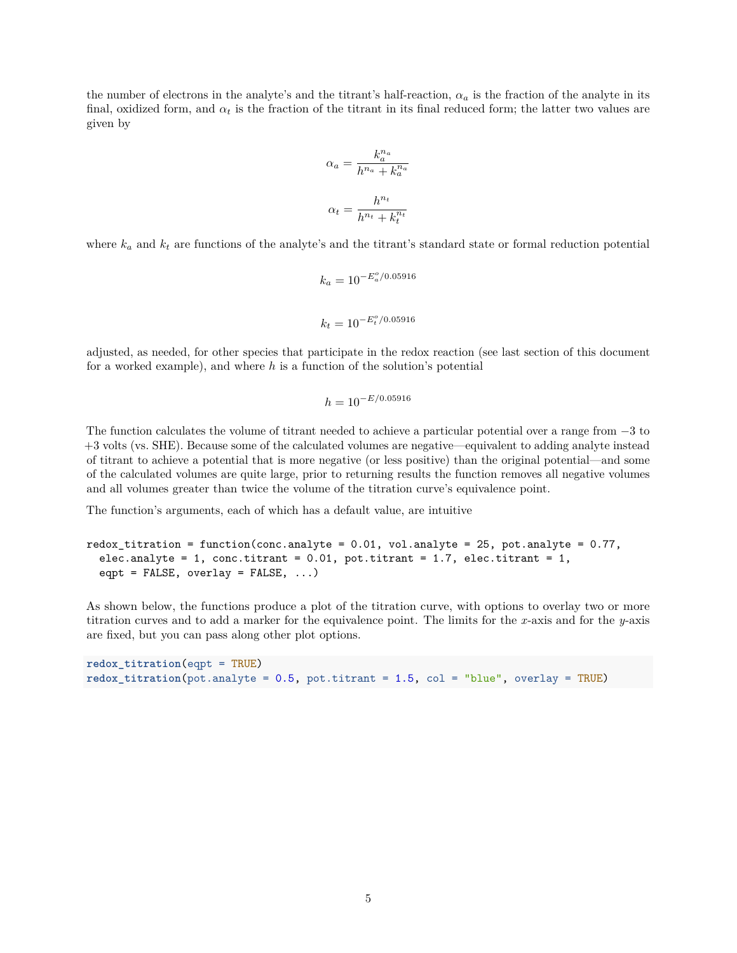the number of electrons in the analyte's and the titrant's half-reaction,  $\alpha_a$  is the fraction of the analyte in its final, oxidized form, and  $\alpha_t$  is the fraction of the titrant in its final reduced form; the latter two values are given by

$$
\alpha_a = \frac{k_a^{n_a}}{h^{n_a} + k_a^{n_a}}
$$
  

$$
\alpha_t = \frac{h^{n_t}}{h^{n_t} + k_t^{n_t}}
$$

where  $k_a$  and  $k_t$  are functions of the analyte's and the titrant's standard state or formal reduction potential

$$
k_a = 10^{-E_a^o/0.05916}
$$
  

$$
k_t = 10^{-E_t^o/0.05916}
$$

adjusted, as needed, for other species that participate in the redox reaction (see last section of this document for a worked example), and where *h* is a function of the solution's potential

$$
h = 10^{-E/0.05916}
$$

The function calculates the volume of titrant needed to achieve a particular potential over a range from −3 to +3 volts (vs. SHE). Because some of the calculated volumes are negative—equivalent to adding analyte instead of titrant to achieve a potential that is more negative (or less positive) than the original potential—and some of the calculated volumes are quite large, prior to returning results the function removes all negative volumes and all volumes greater than twice the volume of the titration curve's equivalence point.

The function's arguments, each of which has a default value, are intuitive

```
redox\_titration = function(conc.analyte = 0.01, vol.analyte = 25, pot.analyte = 0.77,elec.analyte = 1, conc.titrant = 0.01, pot.titrant = 1.7, elec.titrant = 1,
  eqpt = FALSE, overlap = FALSE, ...)
```
As shown below, the functions produce a plot of the titration curve, with options to overlay two or more titration curves and to add a marker for the equivalence point. The limits for the *x*-axis and for the *y*-axis are fixed, but you can pass along other plot options.

```
redox_titration(eqpt = TRUE)
redox\_titration(pot.analyte = 0.5, pot.titrant = 1.5, col = "blue", overlap = TRUE)
```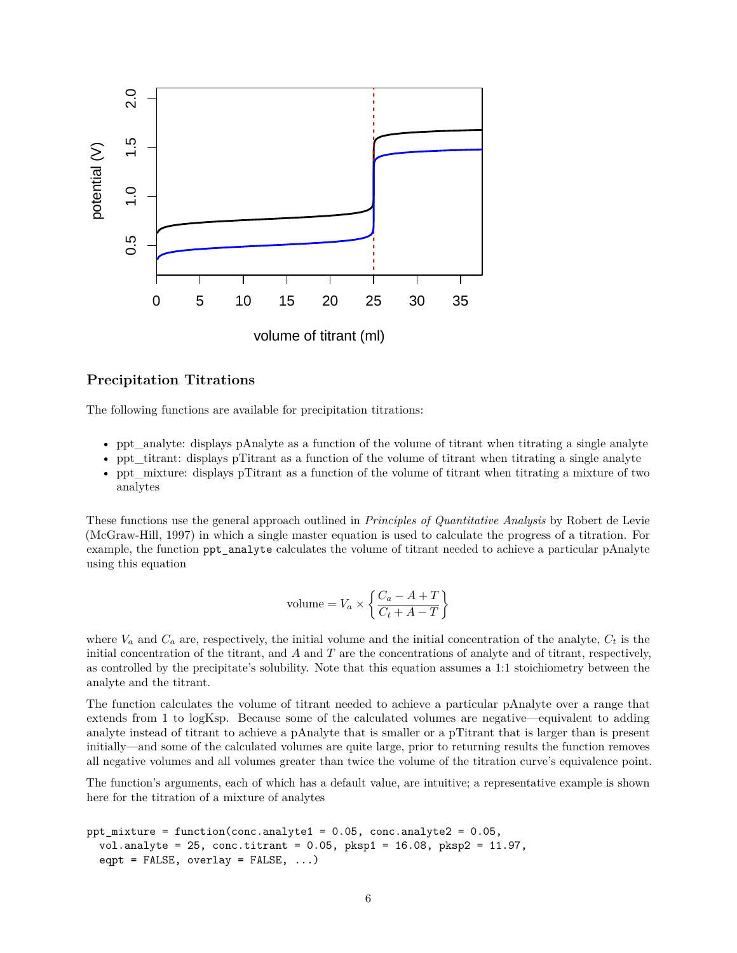

#### **Precipitation Titrations**

The following functions are available for precipitation titrations:

- ppt\_analyte: displays pAnalyte as a function of the volume of titrant when titrating a single analyte
- ppt  $\tau$  titrant: displays pTitrant as a function of the volume of titrant when titrating a single analyte
- ppt\_mixture: displays pTitrant as a function of the volume of titrant when titrating a mixture of two analytes

These functions use the general approach outlined in *Principles of Quantitative Analysis* by Robert de Levie (McGraw-Hill, 1997) in which a single master equation is used to calculate the progress of a titration. For example, the function ppt\_analyte calculates the volume of titrant needed to achieve a particular pAnalyte using this equation

$$
volume = V_a \times \left\{ \frac{C_a - A + T}{C_t + A - T} \right\}
$$

where  $V_a$  and  $C_a$  are, respectively, the initial volume and the initial concentration of the analyte,  $C_t$  is the initial concentration of the titrant, and *A* and *T* are the concentrations of analyte and of titrant, respectively, as controlled by the precipitate's solubility. Note that this equation assumes a 1:1 stoichiometry between the analyte and the titrant.

The function calculates the volume of titrant needed to achieve a particular pAnalyte over a range that extends from 1 to logKsp. Because some of the calculated volumes are negative—equivalent to adding analyte instead of titrant to achieve a pAnalyte that is smaller or a pTitrant that is larger than is present initially—and some of the calculated volumes are quite large, prior to returning results the function removes all negative volumes and all volumes greater than twice the volume of the titration curve's equivalence point.

The function's arguments, each of which has a default value, are intuitive; a representative example is shown here for the titration of a mixture of analytes

```
ppt_mixture = function(conc.analyte1 = 0.05, conc.analyte2 = 0.05,
  vol. analytic = 25, conc.titrant = 0.05, pksp1 = 16.08, pksp2 = 11.97,
  eqpt = FALSE, overlap = FALSE, ...)
```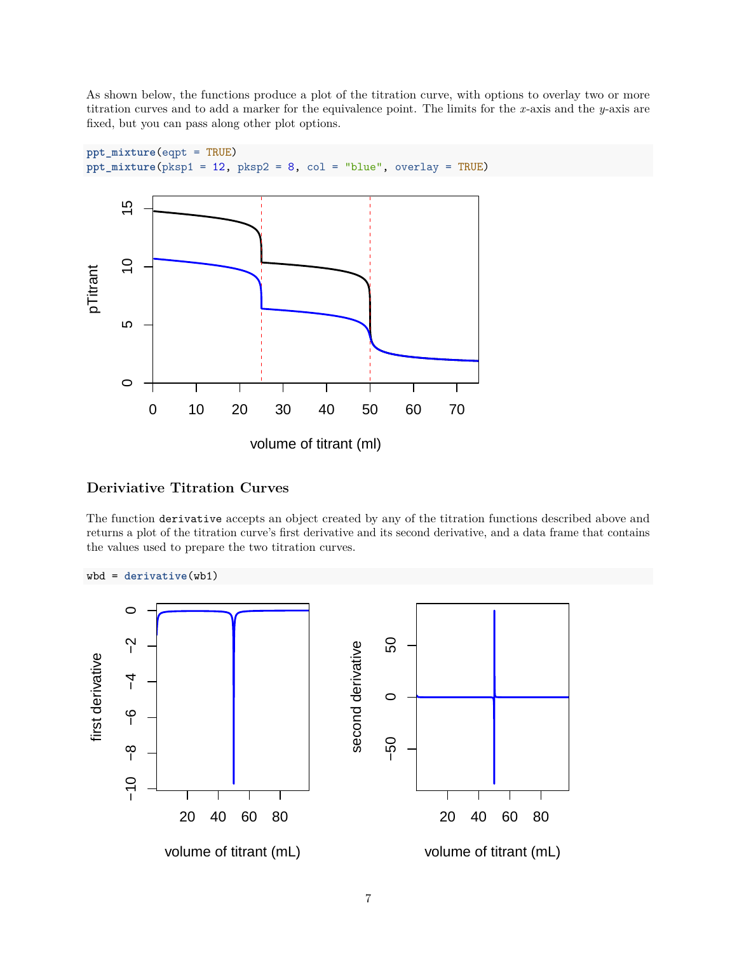As shown below, the functions produce a plot of the titration curve, with options to overlay two or more titration curves and to add a marker for the equivalence point. The limits for the *x*-axis and the *y*-axis are fixed, but you can pass along other plot options.



## **Deriviative Titration Curves**

The function derivative accepts an object created by any of the titration functions described above and returns a plot of the titration curve's first derivative and its second derivative, and a data frame that contains the values used to prepare the two titration curves.

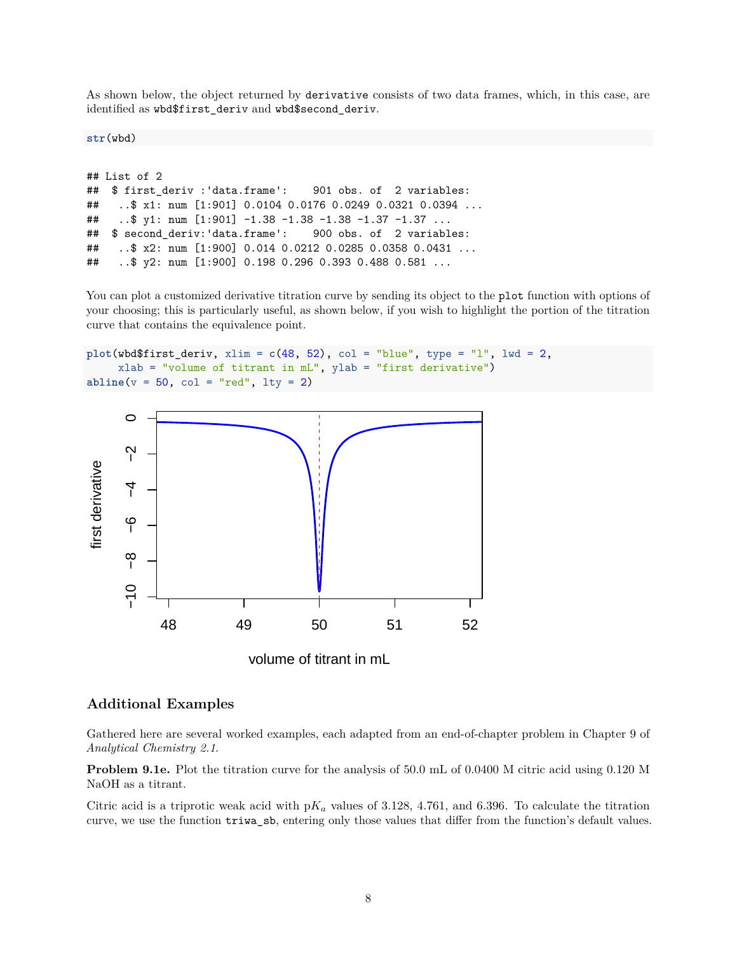As shown below, the object returned by derivative consists of two data frames, which, in this case, are identified as wbd\$first\_deriv and wbd\$second\_deriv.

**str**(wbd)

```
## List of 2
## $ first deriv :'data.frame': 901 obs. of 2 variables:
## ..$ x1: num [1:901] 0.0104 0.0176 0.0249 0.0321 0.0394 ...
## ..$ y1: num [1:901] -1.38 -1.38 -1.38 -1.37 -1.37 ...
## $ second deriv:'data.frame': 900 obs. of 2 variables:
## ..$ x2: num [1:900] 0.014 0.0212 0.0285 0.0358 0.0431 ...
## ..$ y2: num [1:900] 0.198 0.296 0.393 0.488 0.581 ...
```
You can plot a customized derivative titration curve by sending its object to the plot function with options of your choosing; this is particularly useful, as shown below, if you wish to highlight the portion of the titration curve that contains the equivalence point.

```
plot(wbd$first_deriv, xlim = c(48, 52), col = "blue", type = "l", lwd = 2,
     xlab = "volume of titrant in mL", ylab = "first derivative")
abline(v = 50, col = "red", lty = 2)
```


volume of titrant in mL

#### **Additional Examples**

Gathered here are several worked examples, each adapted from an end-of-chapter problem in Chapter 9 of *Analytical Chemistry 2.1*.

**Problem 9.1e.** Plot the titration curve for the analysis of 50.0 mL of 0.0400 M citric acid using 0.120 M NaOH as a titrant.

Citric acid is a triprotic weak acid with  $pK_a$  values of 3.128, 4.761, and 6.396. To calculate the titration curve, we use the function triwa\_sb, entering only those values that differ from the function's default values.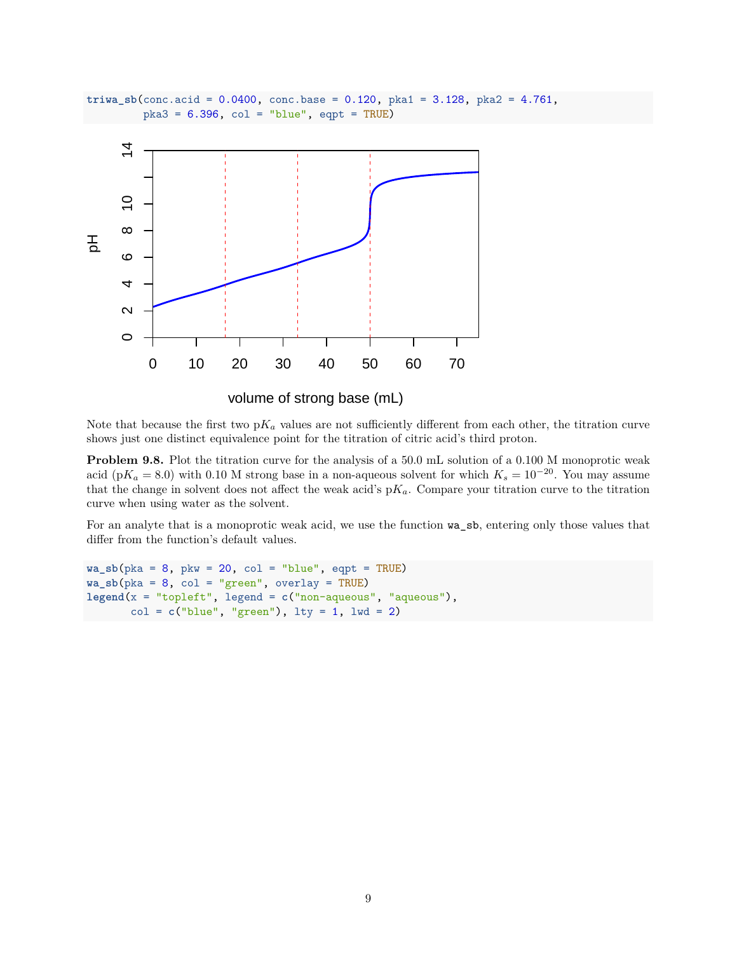



volume of strong base (mL)

Note that because the first two  $pK_a$  values are not sufficiently different from each other, the titration curve shows just one distinct equivalence point for the titration of citric acid's third proton.

**Problem 9.8.** Plot the titration curve for the analysis of a 50.0 mL solution of a 0.100 M monoprotic weak acid (p $K_a = 8.0$ ) with 0.10 M strong base in a non-aqueous solvent for which  $K_s = 10^{-20}$ . You may assume that the change in solvent does not affect the weak acid's  $pK_a$ . Compare your titration curve to the titration curve when using water as the solvent.

For an analyte that is a monoprotic weak acid, we use the function wa\_sb, entering only those values that differ from the function's default values.

```
wa_sbb(pka = 8, pkw = 20, col = "blue", eqpt = TRUE)wa_sbb(pka = 8, col = "green", overlap = TRUE)legend(x = "topleft", legend = c("non-aqueous", "aqueous"),
       col = c("blue", "green"), \text{lty} = 1, \text{lwd} = 2)
```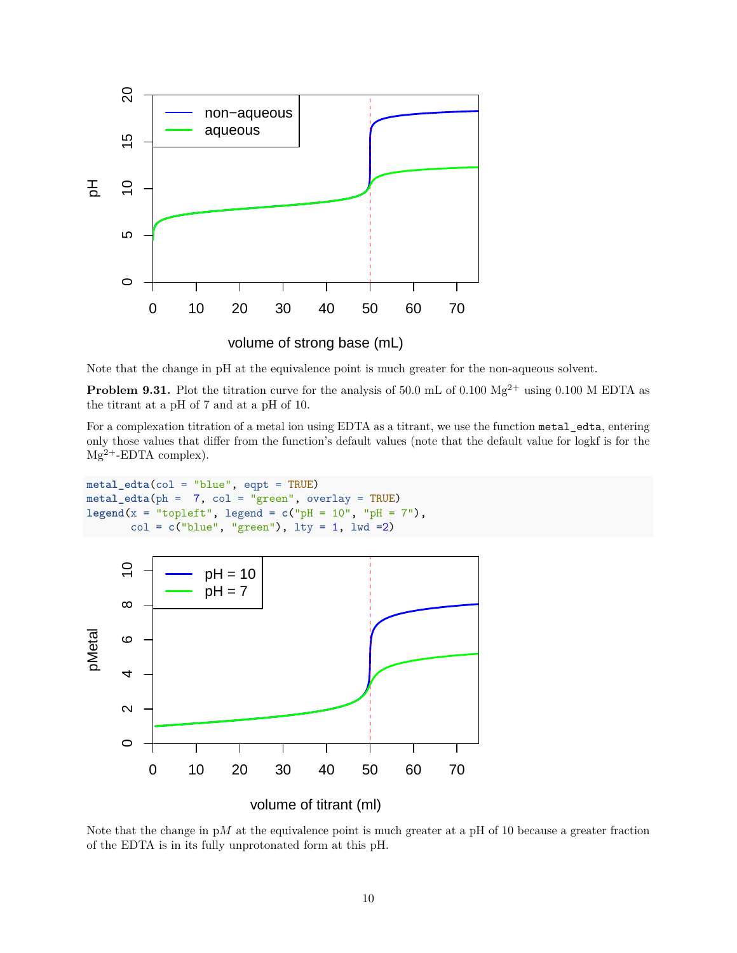

volume of strong base (mL)

Note that the change in pH at the equivalence point is much greater for the non-aqueous solvent.

**Problem 9.31.** Plot the titration curve for the analysis of 50.0 mL of 0.100  $Mg^{2+}$  using 0.100 M EDTA as the titrant at a pH of 7 and at a pH of 10.

For a complexation titration of a metal ion using EDTA as a titrant, we use the function metal\_edta, entering only those values that differ from the function's default values (note that the default value for logkf is for the  $Mg^{2+}$ -EDTA complex).

```
metal_edta(col = "blue", eqpt = TRUE)
metal_edta(ph = 7, col = "green", overlay = TRUE)
legend(x = "topleft", legend = c("pH = 10", "pH = 7"),
      col = c("blue", "green"), lty = 1, lwd =2)
```


Note that the change in p*M* at the equivalence point is much greater at a pH of 10 because a greater fraction of the EDTA is in its fully unprotonated form at this pH.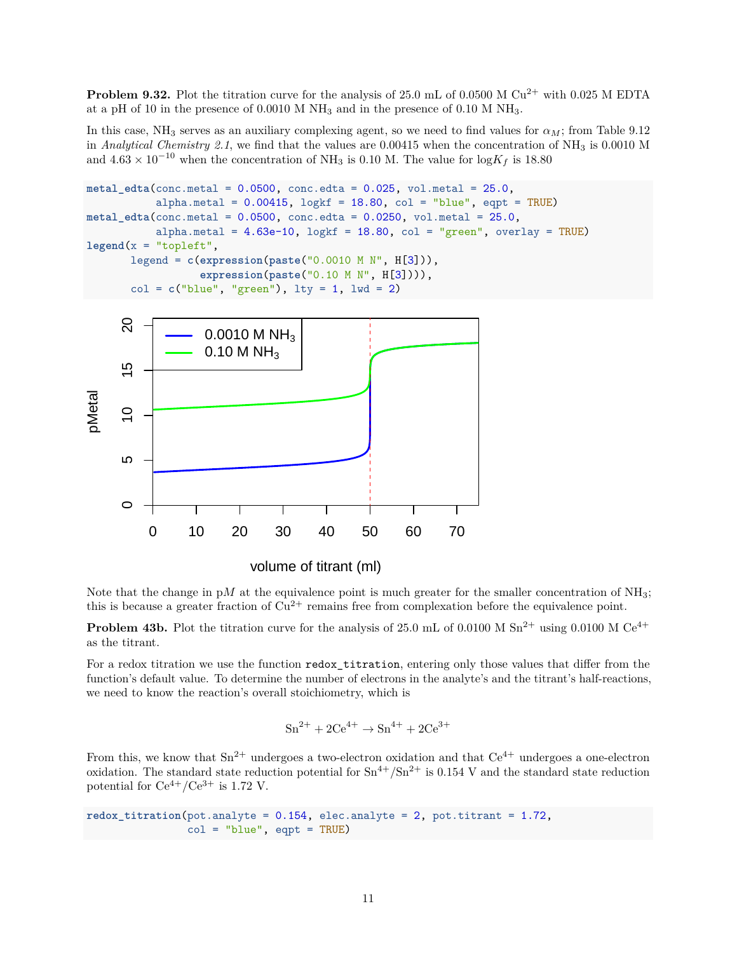**Problem 9.32.** Plot the titration curve for the analysis of 25.0 mL of 0.0500 M  $Cu^{2+}$  with 0.025 M EDTA at a pH of 10 in the presence of 0.0010 M  $NH_3$  and in the presence of 0.10 M  $NH_3$ .

In this case, NH<sub>3</sub> serves as an auxiliary complexing agent, so we need to find values for  $\alpha_M$ ; from Table 9.12 in *Analytical Chemistry 2.1*, we find that the values are 0.00415 when the concentration of NH<sub>3</sub> is 0.0010 M and  $4.63 \times 10^{-10}$  when the concentration of NH<sub>3</sub> is 0.10 M. The value for  $\log K_f$  is 18.80

```
metal_edta(conc.metal = 0.0500, conc.edta = 0.025, vol.metal = 25.0,
           alpha.metal = 0.00415, \log{\text{kf}} = 18.80, \text{col} = "blue", eqpt = TRUE)
metal_edta(conc.metal = 0.0500, conc.edta = 0.0250, vol.metal = 25.0,
           alpha.metal = 4.63e-10, logkf = 18.80, col = "green", overlay = TRUE)lepend(x = "topleft",legend = c(expression(paste("0.0010 M N", H[3])),
                   expression(paste("0.10 M N", H[3]))),
       col = c("blue", "green"), \; lty = 1, \; lwd = 2)
```


Note that the change in  $pM$  at the equivalence point is much greater for the smaller concentration of  $NH_3$ ; this is because a greater fraction of  $Cu^{2+}$  remains free from complexation before the equivalence point.

**Problem 43b.** Plot the titration curve for the analysis of 25.0 mL of 0.0100 M Sn<sup>2+</sup> using 0.0100 M Ce<sup>4+</sup> as the titrant.

For a redox titration we use the function redox titration, entering only those values that differ from the function's default value. To determine the number of electrons in the analyte's and the titrant's half-reactions, we need to know the reaction's overall stoichiometry, which is

$$
Sn^{2+} + 2Ce^{4+} \rightarrow Sn^{4+} + 2Ce^{3+}
$$

From this, we know that  $\text{Sn}^{2+}$  undergoes a two-electron oxidation and that  $\text{Ce}^{4+}$  undergoes a one-electron oxidation. The standard state reduction potential for  $\text{Sn}^{4+}/\text{Sn}^{2+}$  is 0.154 V and the standard state reduction potential for  $Ce^{4+}/Ce^{3+}$  is 1.72 V.

```
redox\_titration(pot.analyte = 0.154, elec.analyte = 2, pot.titrant = 1.72,col = "blue", eqpt = TRUE)
```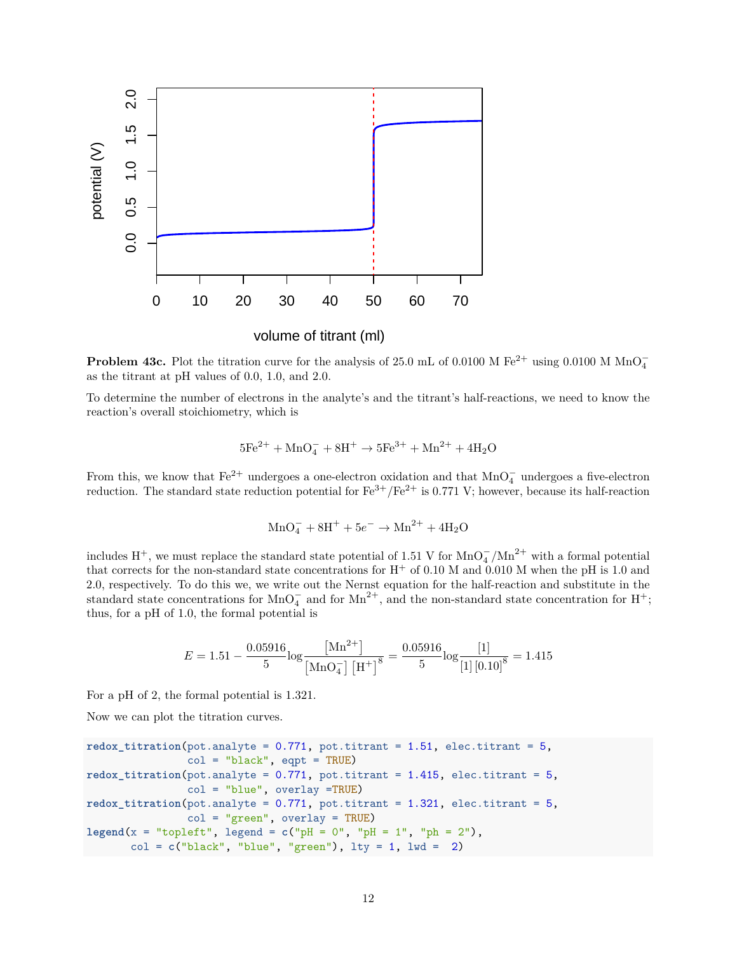

volume of titrant (ml)

**Problem 43c.** Plot the titration curve for the analysis of 25.0 mL of 0.0100 M Fe<sup>2+</sup> using 0.0100 M MnO<sub>4</sub> as the titrant at pH values of 0.0, 1.0, and 2.0.

To determine the number of electrons in the analyte's and the titrant's half-reactions, we need to know the reaction's overall stoichiometry, which is

$$
5\text{Fe}^{2+} + \text{MnO}_4^- + 8\text{H}^+ \rightarrow 5\text{Fe}^{3+} + \text{Mn}^{2+} + 4\text{H}_2\text{O}
$$

From this, we know that  $Fe^{2+}$  undergoes a one-electron oxidation and that MnO $_{4}^{-}$  undergoes a five-electron reduction. The standard state reduction potential for  $Fe^{3+}/Fe^{2+}$  is 0.771 V; however, because its half-reaction

$$
MnO_4^- + 8H^+ + 5e^- \rightarrow Mn^{2+} + 4H_2O
$$

includes H<sup>+</sup>, we must replace the standard state potential of 1.51 V for MnO<sub>4</sub><sup>-</sup>/Mn<sup>2+</sup> with a formal potential that corrects for the non-standard state concentrations for  $H^+$  of 0.10 M and 0.010 M when the pH is 1.0 and 2.0, respectively. To do this we, we write out the Nernst equation for the half-reaction and substitute in the standard state concentrations for MnO<sub>4</sub><sup>-</sup> and for Mn<sup>2+</sup>, and the non-standard state concentration for H<sup>+</sup>; thus, for a pH of 1.0, the formal potential is

$$
E = 1.51 - \frac{0.05916}{5} \log \frac{[\text{Mn}^{2+}]}{[\text{MnO}_4^-][\text{H}^+]^8} = \frac{0.05916}{5} \log \frac{[1]}{[1][0.10]^8} = 1.415
$$

For a pH of 2, the formal potential is 1.321.

Now we can plot the titration curves.

```
redox\_titration(pot.analyte = 0.771, pot.titrant = 1.51, elec.titrant = 5,col = "black", eqpt = TRUE)redox\_titration(pot.analyte = 0.771, pot.titrant = 1.415, elec.titrant = 5,col = "blue", overlay =TRUE)
redox\_titration(pot.analyte = 0.771, pot.titrant = 1.321, elec.titrant = 5,col = "green", overlay = TRUE)
\text{legend}(x = "toplet", \text{ legend} = c("pH = 0", "pH = 1", "ph = 2"),col = c("black", "blue", "green"), \t 1ty = 1, \t 1wd = 2)
```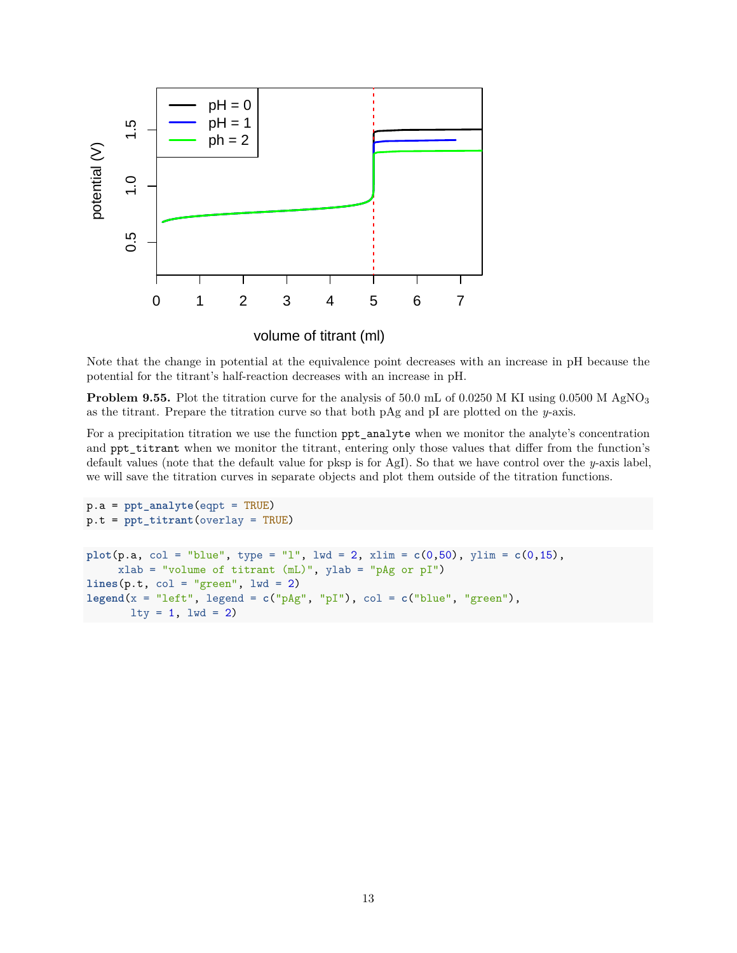

volume of titrant (ml)

Note that the change in potential at the equivalence point decreases with an increase in pH because the potential for the titrant's half-reaction decreases with an increase in pH.

**Problem 9.55.** Plot the titration curve for the analysis of 50.0 mL of 0.0250 M KI using 0.0500 M AgNO<sub>3</sub> as the titrant. Prepare the titration curve so that both pAg and pI are plotted on the *y*-axis.

For a precipitation titration we use the function  $ppt$ <sub>analyte</sub> when we monitor the analyte's concentration and ppt\_titrant when we monitor the titrant, entering only those values that differ from the function's default values (note that the default value for pksp is for AgI). So that we have control over the *y*-axis label, we will save the titration curves in separate objects and plot them outside of the titration functions.

```
p.a = ppt_analyte(eqpt = TRUE)
p.t = ppt_titrant(overlay = TRUE)
plot(p.a, col = "blue", type = "l", lwd = 2, xlim = c(0,50), ylim = c(0,15),xlab = "volume of titrant (mL)", ylab = "pAg or pI")
lines(p.t, col = "green", lw = 2)\text{legend}(x = "left", \text{ legend} = c("pAg", "pI"), col = c("blue", "green"),lty = 1, lwd = 2)
```